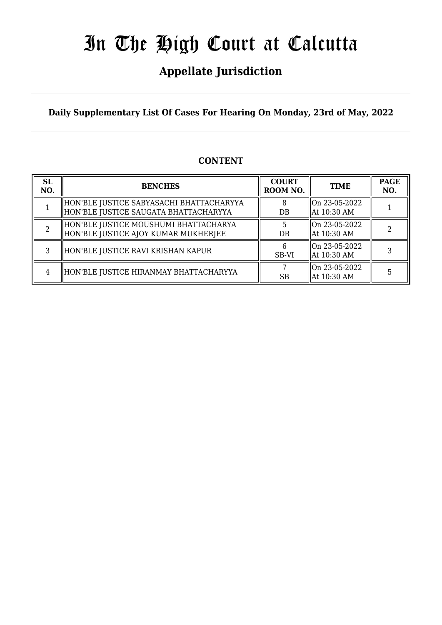## **Appellate Jurisdiction**

**Daily Supplementary List Of Cases For Hearing On Monday, 23rd of May, 2022**

### **CONTENT**

| <b>SL</b><br>NO. | <b>BENCHES</b>                                                                    | <b>COURT</b><br>ROOM NO. | <b>TIME</b>                       | <b>PAGE</b><br>NO. |
|------------------|-----------------------------------------------------------------------------------|--------------------------|-----------------------------------|--------------------|
|                  | HON'BLE JUSTICE SABYASACHI BHATTACHARYYA<br>HON'BLE JUSTICE SAUGATA BHATTACHARYYA | DB                       | llOn 23-05-2022<br>  At 10:30 AM  |                    |
|                  | HON'BLE JUSTICE MOUSHUMI BHATTACHARYA<br>HON'BLE JUSTICE AJOY KUMAR MUKHERJEE     | $DB$                     | On 23-05-2022<br>  At 10:30 AM    |                    |
|                  | HON'BLE JUSTICE RAVI KRISHAN KAPUR                                                | SB-VI                    | llOn 23-05-2022<br>  At 10:30 AM  |                    |
| 4                | HON'BLE JUSTICE HIRANMAY BHATTACHARYYA                                            | <b>SB</b>                | $ On 23-05-2022$<br>  At 10:30 AM |                    |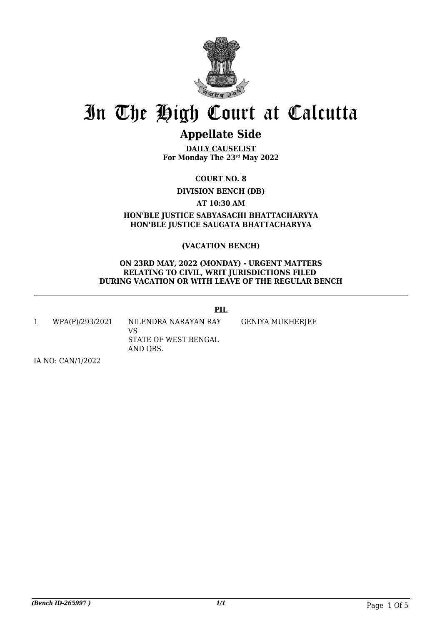

## **Appellate Side**

**DAILY CAUSELIST For Monday The 23rd May 2022**

**COURT NO. 8**

**DIVISION BENCH (DB)**

**AT 10:30 AM**

**HON'BLE JUSTICE SABYASACHI BHATTACHARYYA HON'BLE JUSTICE SAUGATA BHATTACHARYYA**

### **(VACATION BENCH)**

#### **ON 23RD MAY, 2022 (MONDAY) - URGENT MATTERS RELATING TO CIVIL, WRIT JURISDICTIONS FILED DURING VACATION OR WITH LEAVE OF THE REGULAR BENCH**

### **PIL**

1 WPA(P)/293/2021 NILENDRA NARAYAN RAY VS STATE OF WEST BENGAL AND ORS. GENIYA MUKHERJEE

IA NO: CAN/1/2022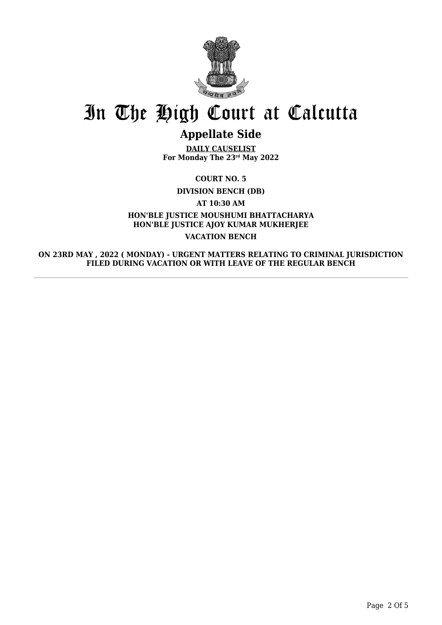

## **Appellate Side**

**DAILY CAUSELIST For Monday The 23rd May 2022**

**COURT NO. 5**

**DIVISION BENCH (DB)**

**AT 10:30 AM**

### **HON'BLE JUSTICE MOUSHUMI BHATTACHARYA HON'BLE JUSTICE AJOY KUMAR MUKHERJEE VACATION BENCH**

**ON 23RD MAY , 2022 ( MONDAY) - URGENT MATTERS RELATING TO CRIMINAL JURISDICTION FILED DURING VACATION OR WITH LEAVE OF THE REGULAR BENCH**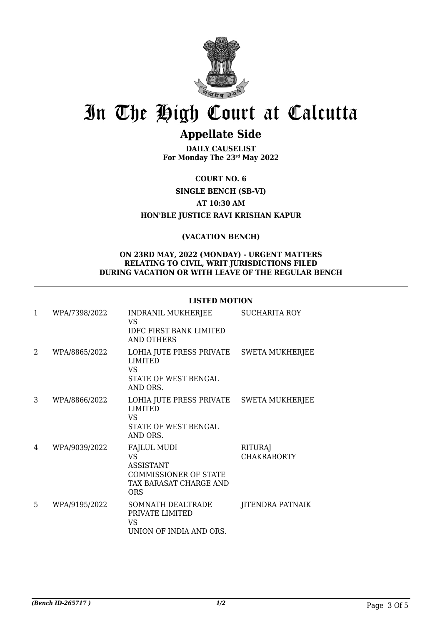

## **Appellate Side**

**DAILY CAUSELIST For Monday The 23rd May 2022**

**COURT NO. 6**

**SINGLE BENCH (SB-VI)**

**AT 10:30 AM**

**HON'BLE JUSTICE RAVI KRISHAN KAPUR**

### **(VACATION BENCH)**

#### **ON 23RD MAY, 2022 (MONDAY) - URGENT MATTERS RELATING TO CIVIL, WRIT JURISDICTIONS FILED DURING VACATION OR WITH LEAVE OF THE REGULAR BENCH**

#### **LISTED MOTION**

| $\mathbf{1}$ | WPA/7398/2022 | INDRANIL MUKHERJEE<br>VS<br><b>IDFC FIRST BANK LIMITED</b><br><b>AND OTHERS</b>                                      | <b>SUCHARITA ROY</b>                 |
|--------------|---------------|----------------------------------------------------------------------------------------------------------------------|--------------------------------------|
| 2            | WPA/8865/2022 | LOHIA JUTE PRESS PRIVATE SWETA MUKHERJEE<br><b>LIMITED</b><br>VS<br>STATE OF WEST BENGAL<br>AND ORS.                 |                                      |
| 3            | WPA/8866/2022 | LOHIA JUTE PRESS PRIVATE SWETA MUKHERJEE<br><b>LIMITED</b><br><b>VS</b><br>STATE OF WEST BENGAL<br>AND ORS.          |                                      |
| 4            | WPA/9039/2022 | <b>FAJLUL MUDI</b><br><b>VS</b><br><b>ASSISTANT</b><br><b>COMMISSIONER OF STATE</b><br>TAX BARASAT CHARGE AND<br>ORS | <b>RITURAJ</b><br><b>CHAKRABORTY</b> |
| 5            | WPA/9195/2022 | SOMNATH DEALTRADE<br>PRIVATE LIMITED<br>VS<br>UNION OF INDIA AND ORS.                                                | <b>JITENDRA PATNAIK</b>              |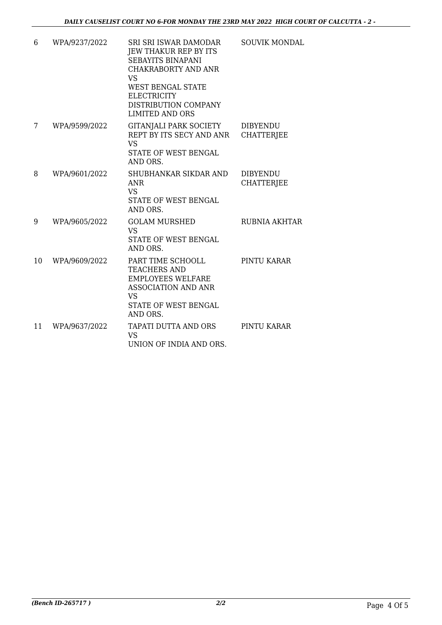| 6  | WPA/9237/2022 | SRI SRI ISWAR DAMODAR<br>JEW THAKUR REP BY ITS<br><b>SEBAYITS BINAPANI</b><br><b>CHAKRABORTY AND ANR</b><br><b>VS</b><br><b>WEST BENGAL STATE</b> | <b>SOUVIK MONDAL</b>                 |
|----|---------------|---------------------------------------------------------------------------------------------------------------------------------------------------|--------------------------------------|
|    |               | <b>ELECTRICITY</b><br>DISTRIBUTION COMPANY<br><b>LIMITED AND ORS</b>                                                                              |                                      |
| 7  | WPA/9599/2022 | <b>GITANJALI PARK SOCIETY</b><br>REPT BY ITS SECY AND ANR<br><b>VS</b><br>STATE OF WEST BENGAL<br>AND ORS.                                        | <b>DIBYENDU</b><br><b>CHATTERJEE</b> |
| 8  | WPA/9601/2022 | SHUBHANKAR SIKDAR AND<br><b>ANR</b><br>VS.<br>STATE OF WEST BENGAL<br>AND ORS.                                                                    | <b>DIBYENDU</b><br><b>CHATTERJEE</b> |
| 9  | WPA/9605/2022 | <b>GOLAM MURSHED</b><br><b>VS</b><br>STATE OF WEST BENGAL<br>AND ORS.                                                                             | RUBNIA AKHTAR                        |
| 10 | WPA/9609/2022 | PART TIME SCHOOLL<br><b>TEACHERS AND</b><br><b>EMPLOYEES WELFARE</b><br><b>ASSOCIATION AND ANR</b><br>VS.<br>STATE OF WEST BENGAL<br>AND ORS.     | PINTU KARAR                          |
| 11 | WPA/9637/2022 | TAPATI DUTTA AND ORS<br><b>VS</b><br>UNION OF INDIA AND ORS.                                                                                      | PINTU KARAR                          |